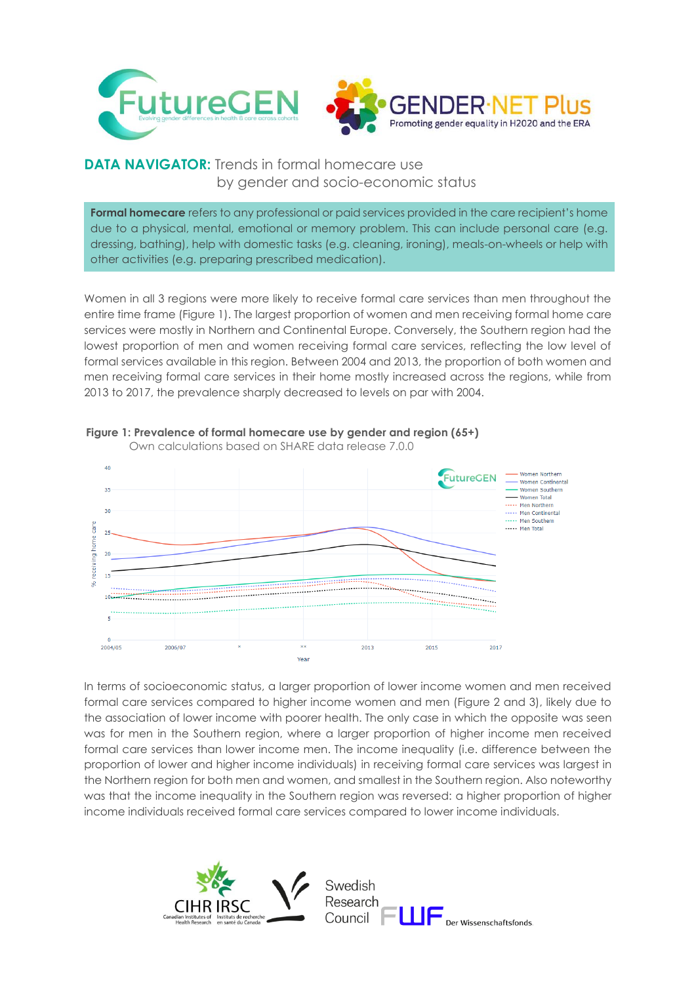

## **DATA NAVIGATOR:** Trends in formal homecare use by gender and socio-economic status

**Formal homecare** refers to any professional or paid services provided in the care recipient's home due to a physical, mental, emotional or memory problem. This can include personal care (e.g. dressing, bathing), help with domestic tasks (e.g. cleaning, ironing), meals-on-wheels or help with other activities (e.g. preparing prescribed medication).

Women in all 3 regions were more likely to receive formal care services than men throughout the entire time frame (Figure 1). The largest proportion of women and men receiving formal home care services were mostly in Northern and Continental Europe. Conversely, the Southern region had the lowest proportion of men and women receiving formal care services, reflecting the low level of formal services available in this region. Between 2004 and 2013, the proportion of both women and men receiving formal care services in their home mostly increased across the regions, while from 2013 to 2017, the prevalence sharply decreased to levels on par with 2004.



## **Figure 1: Prevalence of formal homecare use by gender and region (65+)** Own calculations based on SHARE data release 7.0.0

In terms of socioeconomic status, a larger proportion of lower income women and men received formal care services compared to higher income women and men (Figure 2 and 3), likely due to the association of lower income with poorer health. The only case in which the opposite was seen was for men in the Southern region, where a larger proportion of higher income men received formal care services than lower income men. The income inequality (i.e. difference between the proportion of lower and higher income individuals) in receiving formal care services was largest in the Northern region for both men and women, and smallest in the Southern region. Also noteworthy was that the income inequality in the Southern region was reversed: a higher proportion of higher income individuals received formal care services compared to lower income individuals.